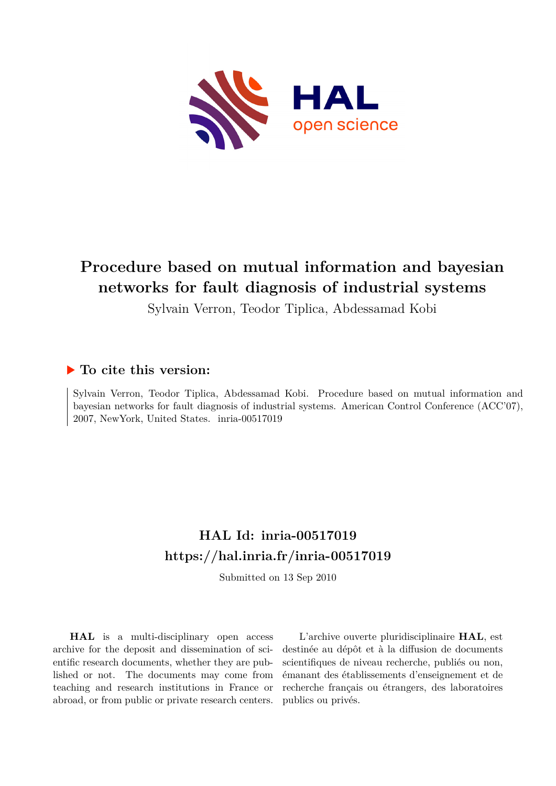

# **Procedure based on mutual information and bayesian networks for fault diagnosis of industrial systems**

Sylvain Verron, Teodor Tiplica, Abdessamad Kobi

# **To cite this version:**

Sylvain Verron, Teodor Tiplica, Abdessamad Kobi. Procedure based on mutual information and bayesian networks for fault diagnosis of industrial systems. American Control Conference (ACC'07), 2007, NewYork, United States. inria-00517019

# **HAL Id: inria-00517019 <https://hal.inria.fr/inria-00517019>**

Submitted on 13 Sep 2010

**HAL** is a multi-disciplinary open access archive for the deposit and dissemination of scientific research documents, whether they are published or not. The documents may come from teaching and research institutions in France or abroad, or from public or private research centers.

L'archive ouverte pluridisciplinaire **HAL**, est destinée au dépôt et à la diffusion de documents scientifiques de niveau recherche, publiés ou non, émanant des établissements d'enseignement et de recherche français ou étrangers, des laboratoires publics ou privés.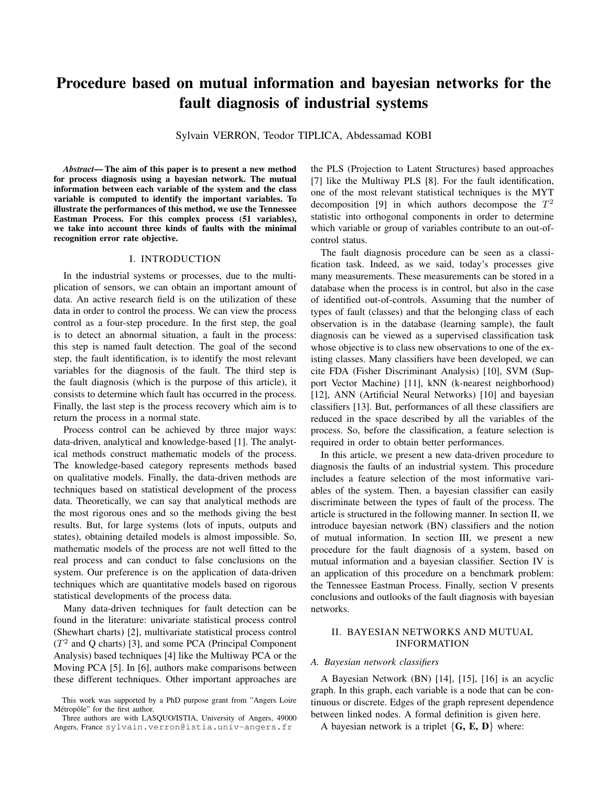# Procedure based on mutual information and bayesian networks for the fault diagnosis of industrial systems

Sylvain VERRON, Teodor TIPLICA, Abdessamad KOBI

*Abstract*— The aim of this paper is to present a new method for process diagnosis using a bayesian network. The mutual information between each variable of the system and the class variable is computed to identify the important variables. To illustrate the performances of this method, we use the Tennessee Eastman Process. For this complex process (51 variables), we take into account three kinds of faults with the minimal recognition error rate objective.

## I. INTRODUCTION

In the industrial systems or processes, due to the multiplication of sensors, we can obtain an important amount of data. An active research field is on the utilization of these data in order to control the process. We can view the process control as a four-step procedure. In the first step, the goal is to detect an abnormal situation, a fault in the process: this step is named fault detection. The goal of the second step, the fault identification, is to identify the most relevant variables for the diagnosis of the fault. The third step is the fault diagnosis (which is the purpose of this article), it consists to determine which fault has occurred in the process. Finally, the last step is the process recovery which aim is to return the process in a normal state.

Process control can be achieved by three major ways: data-driven, analytical and knowledge-based [1]. The analytical methods construct mathematic models of the process. The knowledge-based category represents methods based on qualitative models. Finally, the data-driven methods are techniques based on statistical development of the process data. Theoretically, we can say that analytical methods are the most rigorous ones and so the methods giving the best results. But, for large systems (lots of inputs, outputs and states), obtaining detailed models is almost impossible. So, mathematic models of the process are not well fitted to the real process and can conduct to false conclusions on the system. Our preference is on the application of data-driven techniques which are quantitative models based on rigorous statistical developments of the process data.

Many data-driven techniques for fault detection can be found in the literature: univariate statistical process control (Shewhart charts) [2], multivariate statistical process control  $(T^2$  and Q charts) [3], and some PCA (Principal Component Analysis) based techniques [4] like the Multiway PCA or the Moving PCA [5]. In [6], authors make comparisons between these different techniques. Other important approaches are

the PLS (Projection to Latent Structures) based approaches [7] like the Multiway PLS [8]. For the fault identification, one of the most relevant statistical techniques is the MYT decomposition [9] in which authors decompose the  $T^2$ statistic into orthogonal components in order to determine which variable or group of variables contribute to an out-ofcontrol status.

The fault diagnosis procedure can be seen as a classification task. Indeed, as we said, today's processes give many measurements. These measurements can be stored in a database when the process is in control, but also in the case of identified out-of-controls. Assuming that the number of types of fault (classes) and that the belonging class of each observation is in the database (learning sample), the fault diagnosis can be viewed as a supervised classification task whose objective is to class new observations to one of the existing classes. Many classifiers have been developed, we can cite FDA (Fisher Discriminant Analysis) [10], SVM (Support Vector Machine) [11], kNN (k-nearest neighborhood) [12], ANN (Artificial Neural Networks) [10] and bayesian classifiers [13]. But, performances of all these classifiers are reduced in the space described by all the variables of the process. So, before the classification, a feature selection is required in order to obtain better performances.

In this article, we present a new data-driven procedure to diagnosis the faults of an industrial system. This procedure includes a feature selection of the most informative variables of the system. Then, a bayesian classifier can easily discriminate between the types of fault of the process. The article is structured in the following manner. In section II, we introduce bayesian network (BN) classifiers and the notion of mutual information. In section III, we present a new procedure for the fault diagnosis of a system, based on mutual information and a bayesian classifier. Section IV is an application of this procedure on a benchmark problem: the Tennessee Eastman Process. Finally, section V presents conclusions and outlooks of the fault diagnosis with bayesian networks.

# II. BAYESIAN NETWORKS AND MUTUAL INFORMATION

#### *A. Bayesian network classifiers*

A Bayesian Network (BN) [14], [15], [16] is an acyclic graph. In this graph, each variable is a node that can be continuous or discrete. Edges of the graph represent dependence between linked nodes. A formal definition is given here.

A bayesian network is a triplet  $\{G, E, D\}$  where:

This work was supported by a PhD purpose grant from "Angers Loire Métropôle" for the first author.

Three authors are with LASQUO/ISTIA, University of Angers, 49000 Angers, France sylvain.verron@istia.univ-angers.fr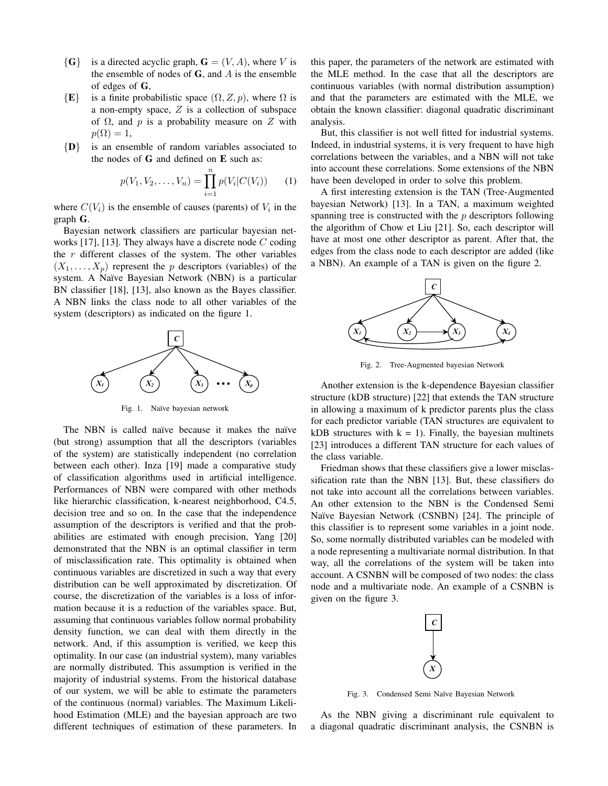- $\{G\}$  is a directed acyclic graph,  $G = (V, A)$ , where V is the ensemble of nodes of **, and**  $A$  **is the ensemble** of edges of G,
- ${E}$  is a finite probabilistic space  $(\Omega, Z, p)$ , where  $\Omega$  is a non-empty space, Z is a collection of subspace of  $\Omega$ , and p is a probability measure on Z with  $p(\Omega) = 1$ ,
- {D} is an ensemble of random variables associated to the nodes of  $G$  and defined on  $E$  such as:

$$
p(V_1, V_2, \dots, V_n) = \prod_{i=1}^n p(V_i|C(V_i)) \qquad (1)
$$

where  $C(V_i)$  is the ensemble of causes (parents) of  $V_i$  in the graph G.

Bayesian network classifiers are particular bayesian networks [17], [13]. They always have a discrete node  $C$  coding the r different classes of the system. The other variables  $(X_1, \ldots, X_p)$  represent the p descriptors (variables) of the system. A Naïve Bayesian Network (NBN) is a particular BN classifier [18], [13], also known as the Bayes classifier. A NBN links the class node to all other variables of the system (descriptors) as indicated on the figure 1.



Fig. 1. Naïve bayesian network

The NBN is called naïve because it makes the naïve (but strong) assumption that all the descriptors (variables of the system) are statistically independent (no correlation between each other). Inza [19] made a comparative study of classification algorithms used in artificial intelligence. Performances of NBN were compared with other methods like hierarchic classification, k-nearest neighborhood, C4.5, decision tree and so on. In the case that the independence assumption of the descriptors is verified and that the probabilities are estimated with enough precision, Yang [20] demonstrated that the NBN is an optimal classifier in term of misclassification rate. This optimality is obtained when continuous variables are discretized in such a way that every distribution can be well approximated by discretization. Of course, the discretization of the variables is a loss of information because it is a reduction of the variables space. But, assuming that continuous variables follow normal probability density function, we can deal with them directly in the network. And, if this assumption is verified, we keep this optimality. In our case (an industrial system), many variables are normally distributed. This assumption is verified in the majority of industrial systems. From the historical database of our system, we will be able to estimate the parameters of the continuous (normal) variables. The Maximum Likelihood Estimation (MLE) and the bayesian approach are two different techniques of estimation of these parameters. In this paper, the parameters of the network are estimated with the MLE method. In the case that all the descriptors are continuous variables (with normal distribution assumption) and that the parameters are estimated with the MLE, we obtain the known classifier: diagonal quadratic discriminant analysis.

But, this classifier is not well fitted for industrial systems. Indeed, in industrial systems, it is very frequent to have high correlations between the variables, and a NBN will not take into account these correlations. Some extensions of the NBN have been developed in order to solve this problem.

A first interesting extension is the TAN (Tree-Augmented bayesian Network) [13]. In a TAN, a maximum weighted spanning tree is constructed with the  $p$  descriptors following the algorithm of Chow et Liu [21]. So, each descriptor will have at most one other descriptor as parent. After that, the edges from the class node to each descriptor are added (like a NBN). An example of a TAN is given on the figure 2.



Fig. 2. Tree-Augmented bayesian Network

Another extension is the k-dependence Bayesian classifier structure (kDB structure) [22] that extends the TAN structure in allowing a maximum of k predictor parents plus the class for each predictor variable (TAN structures are equivalent to kDB structures with  $k = 1$ ). Finally, the bayesian multinets [23] introduces a different TAN structure for each values of the class variable.

Friedman shows that these classifiers give a lower misclassification rate than the NBN [13]. But, these classifiers do not take into account all the correlations between variables. An other extension to the NBN is the Condensed Semi Naïve Bayesian Network (CSNBN) [24]. The principle of this classifier is to represent some variables in a joint node. So, some normally distributed variables can be modeled with a node representing a multivariate normal distribution. In that way, all the correlations of the system will be taken into account. A CSNBN will be composed of two nodes: the class node and a multivariate node. An example of a CSNBN is given on the figure 3.



Fig. 3. Condensed Semi Naïve Bayesian Network

As the NBN giving a discriminant rule equivalent to a diagonal quadratic discriminant analysis, the CSNBN is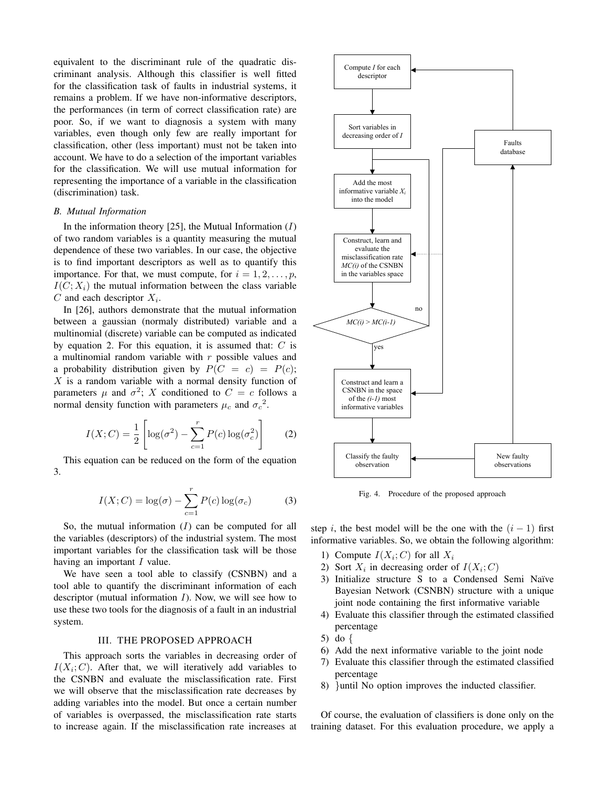equivalent to the discriminant rule of the quadratic discriminant analysis. Although this classifier is well fitted for the classification task of faults in industrial systems, it remains a problem. If we have non-informative descriptors, the performances (in term of correct classification rate) are poor. So, if we want to diagnosis a system with many variables, even though only few are really important for classification, other (less important) must not be taken into account. We have to do a selection of the important variables for the classification. We will use mutual information for representing the importance of a variable in the classification (discrimination) task.

# *B. Mutual Information*

In the information theory [25], the Mutual Information  $(I)$ of two random variables is a quantity measuring the mutual dependence of these two variables. In our case, the objective is to find important descriptors as well as to quantify this importance. For that, we must compute, for  $i = 1, 2, \ldots, p$ ,  $I(C; X<sub>i</sub>)$  the mutual information between the class variable C and each descriptor  $X_i$ .

In [26], authors demonstrate that the mutual information between a gaussian (normaly distributed) variable and a multinomial (discrete) variable can be computed as indicated by equation 2. For this equation, it is assumed that:  $C$  is a multinomial random variable with  $r$  possible values and a probability distribution given by  $P(C = c) = P(c)$ ;  $X$  is a random variable with a normal density function of parameters  $\mu$  and  $\sigma^2$ ; X conditioned to  $C = c$  follows a normal density function with parameters  $\mu_c$  and  $\sigma_c^2$ .

$$
I(X;C) = \frac{1}{2} \left[ \log(\sigma^2) - \sum_{c=1}^{r} P(c) \log(\sigma_c^2) \right]
$$
 (2)

This equation can be reduced on the form of the equation 3.

$$
I(X;C) = \log(\sigma) - \sum_{c=1}^{r} P(c) \log(\sigma_c)
$$
 (3)

So, the mutual information  $(I)$  can be computed for all the variables (descriptors) of the industrial system. The most important variables for the classification task will be those having an important  $I$  value.

We have seen a tool able to classify (CSNBN) and a tool able to quantify the discriminant information of each descriptor (mutual information  $I$ ). Now, we will see how to use these two tools for the diagnosis of a fault in an industrial system.

# III. THE PROPOSED APPROACH

This approach sorts the variables in decreasing order of  $I(X_i; C)$ . After that, we will iteratively add variables to the CSNBN and evaluate the misclassification rate. First we will observe that the misclassification rate decreases by adding variables into the model. But once a certain number of variables is overpassed, the misclassification rate starts to increase again. If the misclassification rate increases at



Fig. 4. Procedure of the proposed approach

step i, the best model will be the one with the  $(i - 1)$  first informative variables. So, we obtain the following algorithm:

- 1) Compute  $I(X_i; C)$  for all  $X_i$
- 2) Sort  $X_i$  in decreasing order of  $I(X_i; C)$
- 3) Initialize structure S to a Condensed Semi Naïve Bayesian Network (CSNBN) structure with a unique joint node containing the first informative variable
- 4) Evaluate this classifier through the estimated classified percentage
- 5) do {
- 6) Add the next informative variable to the joint node
- 7) Evaluate this classifier through the estimated classified percentage
- 8) }until No option improves the inducted classifier.

Of course, the evaluation of classifiers is done only on the training dataset. For this evaluation procedure, we apply a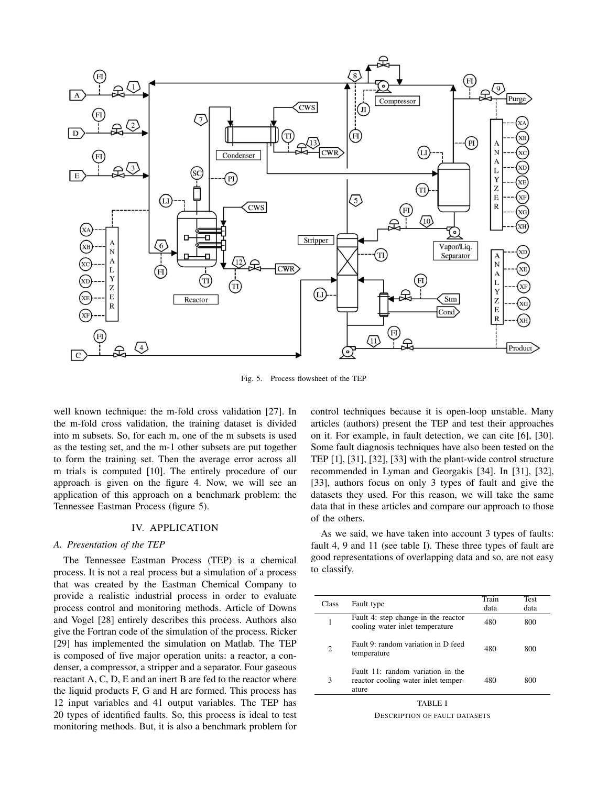

Fig. 5. Process flowsheet of the TEP

well known technique: the m-fold cross validation [27]. In the m-fold cross validation, the training dataset is divided into m subsets. So, for each m, one of the m subsets is used as the testing set, and the m-1 other subsets are put together to form the training set. Then the average error across all m trials is computed [10]. The entirely procedure of our approach is given on the figure 4. Now, we will see an application of this approach on a benchmark problem: the Tennessee Eastman Process (figure 5).

## IV. APPLICATION

### *A. Presentation of the TEP*

The Tennessee Eastman Process (TEP) is a chemical process. It is not a real process but a simulation of a process that was created by the Eastman Chemical Company to provide a realistic industrial process in order to evaluate process control and monitoring methods. Article of Downs and Vogel [28] entirely describes this process. Authors also give the Fortran code of the simulation of the process. Ricker [29] has implemented the simulation on Matlab. The TEP is composed of five major operation units: a reactor, a condenser, a compressor, a stripper and a separator. Four gaseous reactant A, C, D, E and an inert B are fed to the reactor where the liquid products F, G and H are formed. This process has 12 input variables and 41 output variables. The TEP has 20 types of identified faults. So, this process is ideal to test monitoring methods. But, it is also a benchmark problem for

control techniques because it is open-loop unstable. Many articles (authors) present the TEP and test their approaches on it. For example, in fault detection, we can cite [6], [30]. Some fault diagnosis techniques have also been tested on the TEP [1], [31], [32], [33] with the plant-wide control structure recommended in Lyman and Georgakis [34]. In [31], [32], [33], authors focus on only 3 types of fault and give the datasets they used. For this reason, we will take the same data that in these articles and compare our approach to those of the others.

As we said, we have taken into account 3 types of faults: fault 4, 9 and 11 (see table I). These three types of fault are good representations of overlapping data and so, are not easy to classify.

| Class | Fault type                                                                        | Train<br>data | <b>Test</b><br>data |
|-------|-----------------------------------------------------------------------------------|---------------|---------------------|
|       | Fault 4: step change in the reactor<br>cooling water inlet temperature            | 480           | 800                 |
| 2     | Fault 9: random variation in D feed<br>temperature                                | 480           | 800                 |
| 3     | Fault 11: random variation in the<br>reactor cooling water inlet temper-<br>ature | 480           | 800                 |

TABLE I

DESCRIPTION OF FAULT DATASETS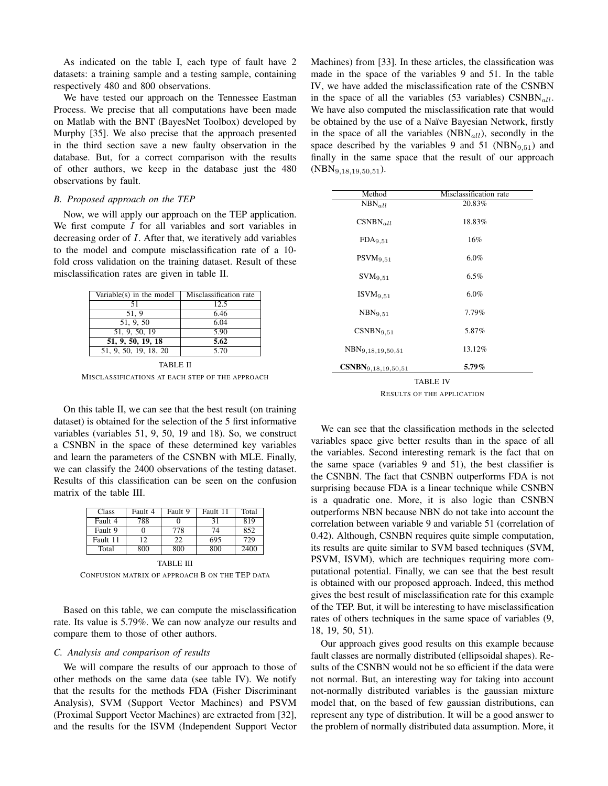As indicated on the table I, each type of fault have 2 datasets: a training sample and a testing sample, containing respectively 480 and 800 observations.

We have tested our approach on the Tennessee Eastman Process. We precise that all computations have been made on Matlab with the BNT (BayesNet Toolbox) developed by Murphy [35]. We also precise that the approach presented in the third section save a new faulty observation in the database. But, for a correct comparison with the results of other authors, we keep in the database just the 480 observations by fault.

## *B. Proposed approach on the TEP*

Now, we will apply our approach on the TEP application. We first compute  $I$  for all variables and sort variables in decreasing order of I. After that, we iteratively add variables to the model and compute misclassification rate of a 10 fold cross validation on the training dataset. Result of these misclassification rates are given in table II.

| Variable $(s)$ in the model | Misclassification rate |
|-----------------------------|------------------------|
| 51                          | 12.5                   |
| 51.9                        | 6.46                   |
| 51, 9, 50                   | 6.04                   |
| 51, 9, 50, 19               | 5.90                   |
| 51, 9, 50, 19, 18           | 5.62                   |
| 51, 9, 50, 19, 18, 20       | 5.70                   |
|                             |                        |

TABLE II MISCLASSIFICATIONS AT EACH STEP OF THE APPROACH

On this table II, we can see that the best result (on training dataset) is obtained for the selection of the 5 first informative variables (variables 51, 9, 50, 19 and 18). So, we construct a CSNBN in the space of these determined key variables and learn the parameters of the CSNBN with MLE. Finally, we can classify the 2400 observations of the testing dataset. Results of this classification can be seen on the confusion matrix of the table III.

| <b>Class</b> | Fault 4 | Fault 9          | Fault 11 | Total |
|--------------|---------|------------------|----------|-------|
| Fault 4      | 788     |                  | 31       | 819   |
| Fault 9      |         | 778              | 74       | 852   |
| Fault 11     | 12      | 22.              | 695      | 729   |
| Total        | 800     | 800              | 800      | 2400  |
|              |         | <b>TABLE III</b> |          |       |

CONFUSION MATRIX OF APPROACH B ON THE TEP DATA

Based on this table, we can compute the misclassification rate. Its value is 5.79%. We can now analyze our results and compare them to those of other authors.

### *C. Analysis and comparison of results*

We will compare the results of our approach to those of other methods on the same data (see table IV). We notify that the results for the methods FDA (Fisher Discriminant Analysis), SVM (Support Vector Machines) and PSVM (Proximal Support Vector Machines) are extracted from [32], and the results for the ISVM (Independent Support Vector

Machines) from [33]. In these articles, the classification was made in the space of the variables 9 and 51. In the table IV, we have added the misclassification rate of the CSNBN in the space of all the variables (53 variables)  $CSNBN_{all}$ . We have also computed the misclassification rate that would be obtained by the use of a Naïve Bayesian Network, firstly in the space of all the variables  $(NBN_{all})$ , secondly in the space described by the variables 9 and 51 ( $NBN_{9,51}$ ) and finally in the same space that the result of our approach  $(NBN_{9,18,19,50,51}).$ 

| 20.83%<br>18.83%<br>16%<br>$6.0\%$ |
|------------------------------------|
|                                    |
|                                    |
|                                    |
|                                    |
| 6.5%                               |
| 6.0%                               |
| 7.79%                              |
| 5.87%                              |
| 13.12%                             |
| $5.79\%$                           |
|                                    |

RESULTS OF THE APPLICATION

We can see that the classification methods in the selected variables space give better results than in the space of all the variables. Second interesting remark is the fact that on the same space (variables 9 and 51), the best classifier is the CSNBN. The fact that CSNBN outperforms FDA is not surprising because FDA is a linear technique while CSNBN is a quadratic one. More, it is also logic than CSNBN outperforms NBN because NBN do not take into account the correlation between variable 9 and variable 51 (correlation of 0.42). Although, CSNBN requires quite simple computation, its results are quite similar to SVM based techniques (SVM, PSVM, ISVM), which are techniques requiring more computational potential. Finally, we can see that the best result is obtained with our proposed approach. Indeed, this method gives the best result of misclassification rate for this example of the TEP. But, it will be interesting to have misclassification rates of others techniques in the same space of variables (9, 18, 19, 50, 51).

Our approach gives good results on this example because fault classes are normally distributed (ellipsoidal shapes). Results of the CSNBN would not be so efficient if the data were not normal. But, an interesting way for taking into account not-normally distributed variables is the gaussian mixture model that, on the based of few gaussian distributions, can represent any type of distribution. It will be a good answer to the problem of normally distributed data assumption. More, it